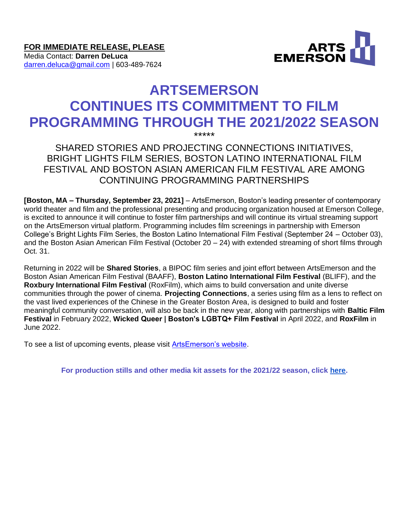**FOR IMMEDIATE RELEASE, PLEASE** Media Contact: **Darren DeLuca** [darren.deluca@gmail.com](mailto:darren.deluca@gmail.com) | 603-489-7624



# **ARTSEMERSON CONTINUES ITS COMMITMENT TO FILM PROGRAMMING THROUGH THE 2021/2022 SEASON**

\*\*\*\*\* SHARED STORIES AND PROJECTING CONNECTIONS INITIATIVES, BRIGHT LIGHTS FILM SERIES, BOSTON LATINO INTERNATIONAL FILM FESTIVAL AND BOSTON ASIAN AMERICAN FILM FESTIVAL ARE AMONG CONTINUING PROGRAMMING PARTNERSHIPS

**[Boston, MA – Thursday, September 23, 2021]** – ArtsEmerson, Boston's leading presenter of contemporary world theater and film and the professional presenting and producing organization housed at Emerson College, is excited to announce it will continue to foster film partnerships and will continue its virtual streaming support on the ArtsEmerson virtual platform. Programming includes film screenings in partnership with Emerson College's Bright Lights Film Series, the Boston Latino International Film Festival (September 24 – October 03), and the Boston Asian American Film Festival (October 20 – 24) with extended streaming of short films through Oct. 31.

Returning in 2022 will be **Shared Stories**, a BIPOC film series and joint effort between ArtsEmerson and the Boston Asian American Film Festival (BAAFF), **Boston Latino International Film Festival** (BLIFF), and the **Roxbury International Film Festival** (RoxFilm), which aims to build conversation and unite diverse communities through the power of cinema. **Projecting Connections**, a series using film as a lens to reflect on the vast lived experiences of the Chinese in the Greater Boston Area, is designed to build and foster meaningful community conversation, will also be back in the new year, along with partnerships with **Baltic Film Festival** in February 2022, **Wicked Queer | Boston's LGBTQ+ Film Festival** in April 2022, and **RoxFilm** in June 2022.

To see a list of upcoming events, please visit [ArtsEmerson's website.](https://artsemerson.org/Online/seatSelect.asp?createBO::WSmap=1&BOparam::WSmap::loadBestAvailable::performance_ids=62B323EF-CD91-4309-ADE3-B057766406E6)

**For production stills and other media kit assets for the 2021/22 season, click [here.](https://artsemerson.org/Online/article/2122-mediakit)**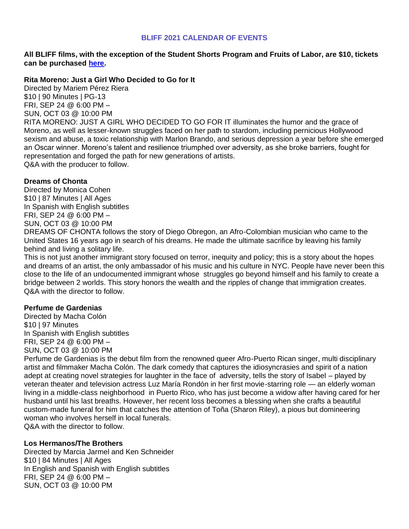#### **BLIFF 2021 CALENDAR OF EVENTS**

## **All BLIFF films, with the exception of the Student Shorts Program and Fruits of Labor, are \$10, tickets can be purchased [here.](https://artsemerson.org/events/bliff-21/)**

#### **Rita Moreno: Just a Girl Who Decided to Go for It**

Directed by Mariem Pérez Riera \$10 | 90 Minutes | PG-13 FRI, SEP 24 @ 6:00 PM – SUN, OCT 03 @ 10:00 PM RITA MORENO: JUST A GIRL WHO DECIDED TO GO FOR IT illuminates the humor and the grace of Moreno, as well as lesser-known struggles faced on her path to stardom, including pernicious Hollywood sexism and abuse, a toxic relationship with Marlon Brando, and serious depression a year before she emerged an Oscar winner. Moreno's talent and resilience triumphed over adversity, as she broke barriers, fought for representation and forged the path for new generations of artists. Q&A with the producer to follow.

## **Dreams of Chonta**

Directed by Monica Cohen \$10 | 87 Minutes | All Ages In Spanish with English subtitles FRI, SEP 24 @ 6:00 PM – SUN, OCT 03 @ 10:00 PM

DREAMS OF CHONTA follows the story of Diego Obregon, an Afro-Colombian musician who came to the United States 16 years ago in search of his dreams. He made the ultimate sacrifice by leaving his family behind and living a solitary life.

This is not just another immigrant story focused on terror, inequity and policy; this is a story about the hopes and dreams of an artist, the only ambassador of his music and his culture in NYC. People have never been this close to the life of an undocumented immigrant whose struggles go beyond himself and his family to create a bridge between 2 worlds. This story honors the wealth and the ripples of change that immigration creates. Q&A with the director to follow.

## **Perfume de Gardenias**

Directed by Macha Colón \$10 | 97 Minutes In Spanish with English subtitles FRI, SEP 24 @ 6:00 PM – SUN, OCT 03 @ 10:00 PM

Perfume de Gardenias is the debut film from the renowned queer Afro-Puerto Rican singer, multi disciplinary artist and filmmaker Macha Colón. The dark comedy that captures the idiosyncrasies and spirit of a nation adept at creating novel strategies for laughter in the face of adversity, tells the story of Isabel – played by veteran theater and television actress Luz María Rondón in her first movie-starring role — an elderly woman living in a middle-class neighborhood in Puerto Rico, who has just become a widow after having cared for her husband until his last breaths. However, her recent loss becomes a blessing when she crafts a beautiful custom-made funeral for him that catches the attention of Toña (Sharon Riley), a pious but domineering woman who involves herself in local funerals. Q&A with the director to follow.

## **Los Hermanos/The Brothers**

Directed by Marcia Jarmel and Ken Schneider \$10 | 84 Minutes | All Ages In English and Spanish with English subtitles FRI, SEP 24 @ 6:00 PM – SUN, OCT 03 @ 10:00 PM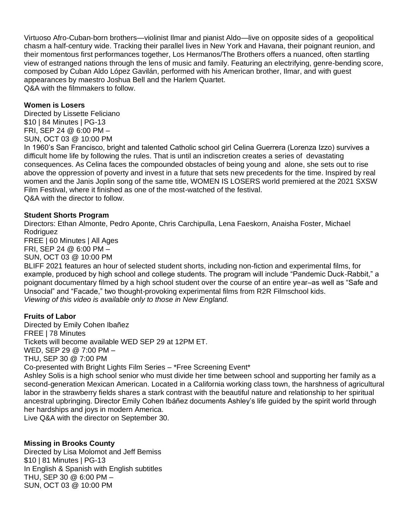Virtuoso Afro-Cuban-born brothers—violinist Ilmar and pianist Aldo—live on opposite sides of a geopolitical chasm a half-century wide. Tracking their parallel lives in New York and Havana, their poignant reunion, and their momentous first performances together, Los Hermanos/The Brothers offers a nuanced, often startling view of estranged nations through the lens of music and family. Featuring an electrifying, genre-bending score, composed by Cuban Aldo López Gavilán, performed with his American brother, Ilmar, and with guest appearances by maestro Joshua Bell and the Harlem Quartet. Q&A with the filmmakers to follow.

#### **Women is Losers**

Directed by Lissette Feliciano \$10 | 84 Minutes | PG-13 FRI, SEP 24 @ 6:00 PM – SUN, OCT 03 @ 10:00 PM

In 1960's San Francisco, bright and talented Catholic school girl Celina Guerrera (Lorenza Izzo) survives a difficult home life by following the rules. That is until an indiscretion creates a series of devastating consequences. As Celina faces the compounded obstacles of being young and alone, she sets out to rise above the oppression of poverty and invest in a future that sets new precedents for the time. Inspired by real women and the Janis Joplin song of the same title, WOMEN IS LOSERS world premiered at the 2021 SXSW Film Festival, where it finished as one of the most-watched of the festival. Q&A with the director to follow.

#### **Student Shorts Program**

Directors: Ethan Almonte, Pedro Aponte, Chris Carchipulla, Lena Faeskorn, Anaisha Foster, Michael Rodriguez

FREE | 60 Minutes | All Ages FRI, SEP 24 @ 6:00 PM –

SUN, OCT 03 @ 10:00 PM

BLIFF 2021 features an hour of selected student shorts, including non-fiction and experimental films, for example, produced by high school and college students. The program will include "Pandemic Duck-Rabbit," a poignant documentary filmed by a high school student over the course of an entire year–as well as "Safe and Unsocial" and "Facade," two thought-provoking experimental films from R2R Filmschool kids. *Viewing of this video is available only to those in New England.*

#### **Fruits of Labor**

Directed by Emily Cohen Ibañez FREE | 78 Minutes Tickets will become available WED SEP 29 at 12PM ET. WED, SEP 29 @ 7:00 PM – THU, SEP 30 @ 7:00 PM Co-presented with Bright Lights Film Series – \*Free Screening Event\* Ashley Solis is a high school senior who must divide her time between school and supporting her family as a second-generation Mexican American. Located in a California working class town, the harshness of agricultural labor in the strawberry fields shares a stark contrast with the beautiful nature and relationship to her spiritual ancestral upbringing. Director Emily Cohen Ibáñez documents Ashley's life guided by the spirit world through her hardships and joys in modern America.

Live Q&A with the director on September 30.

## **Missing in Brooks County**

Directed by Lisa Molomot and Jeff Bemiss \$10 | 81 Minutes | PG-13 In English & Spanish with English subtitles THU, SEP 30 @ 6:00 PM – SUN, OCT 03 @ 10:00 PM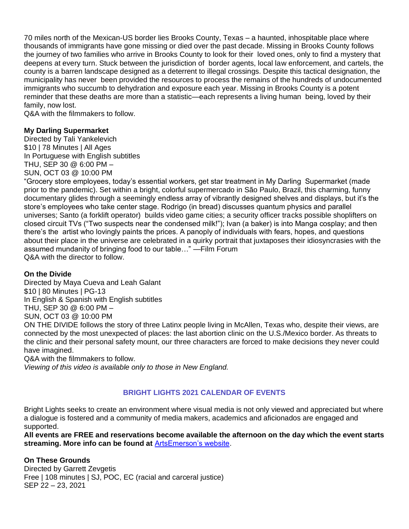70 miles north of the Mexican-US border lies Brooks County, Texas – a haunted, inhospitable place where thousands of immigrants have gone missing or died over the past decade. Missing in Brooks County follows the journey of two families who arrive in Brooks County to look for their loved ones, only to find a mystery that deepens at every turn. Stuck between the jurisdiction of border agents, local law enforcement, and cartels, the county is a barren landscape designed as a deterrent to illegal crossings. Despite this tactical designation, the municipality has never been provided the resources to process the remains of the hundreds of undocumented immigrants who succumb to dehydration and exposure each year. Missing in Brooks County is a potent reminder that these deaths are more than a statistic—each represents a living human being, loved by their family, now lost.

Q&A with the filmmakers to follow.

## **My Darling Supermarket**

Directed by Tali Yankelevich \$10 | 78 Minutes | All Ages In Portuguese with English subtitles THU, SEP 30 @ 6:00 PM – SUN, OCT 03 @ 10:00 PM

"Grocery store employees, today's essential workers, get star treatment in My Darling Supermarket (made prior to the pandemic). Set within a bright, colorful supermercado in São Paulo, Brazil, this charming, funny documentary glides through a seemingly endless array of vibrantly designed shelves and displays, but it's the store's employees who take center stage. Rodrigo (in bread) discusses quantum physics and parallel universes; Santo (a forklift operator) builds video game cities; a security officer tracks possible shoplifters on closed circuit TVs ("Two suspects near the condensed milk!"); Ivan (a baker) is into Manga cosplay; and then there's the artist who lovingly paints the prices. A panoply of individuals with fears, hopes, and questions about their place in the universe are celebrated in a quirky portrait that juxtaposes their idiosyncrasies with the assumed mundanity of bringing food to our table…" —Film Forum Q&A with the director to follow.

## **On the Divide**

Directed by Maya Cueva and Leah Galant \$10 | 80 Minutes | PG-13 In English & Spanish with English subtitles THU, SEP 30 @ 6:00 PM – SUN, OCT 03 @ 10:00 PM

ON THE DIVIDE follows the story of three Latinx people living in McAllen, Texas who, despite their views, are connected by the most unexpected of places: the last abortion clinic on the U.S./Mexico border. As threats to the clinic and their personal safety mount, our three characters are forced to make decisions they never could have imagined.

Q&A with the filmmakers to follow.

*Viewing of this video is available only to those in New England.*

# **BRIGHT LIGHTS 2021 CALENDAR OF EVENTS**

Bright Lights seeks to create an environment where visual media is not only viewed and appreciated but where a dialogue is fostered and a community of media makers, academics and aficionados are engaged and supported.

**All events are FREE and reservations become available the afternoon on the day which the event starts streaming. More info can be found at** [ArtsEmerson's website.](https://artsemerson.org/Online/seatSelect.asp?createBO::WSmap=1&BOparam::WSmap::loadBestAvailable::performance_ids=62B323EF-CD91-4309-ADE3-B057766406E6)

## **On These Grounds**

Directed by Garrett Zevgetis Free | 108 minutes | SJ, POC, EC (racial and carceral justice) SEP 22 – 23, 2021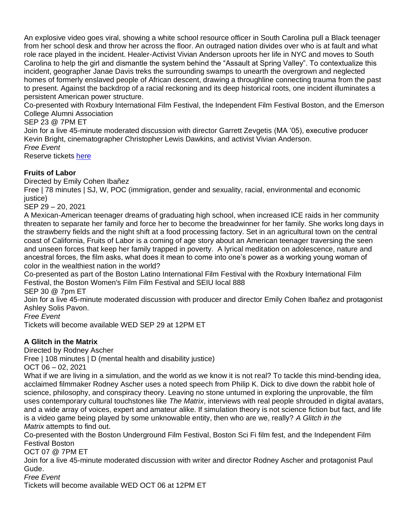An explosive video goes viral, showing a white school resource officer in South Carolina pull a Black teenager from her school desk and throw her across the floor. An outraged nation divides over who is at fault and what role race played in the incident. Healer-Activist Vivian Anderson uproots her life in NYC and moves to South Carolina to help the girl and dismantle the system behind the "Assault at Spring Valley". To contextualize this incident, geographer Janae Davis treks the surrounding swamps to unearth the overgrown and neglected homes of formerly enslaved people of African descent, drawing a throughline connecting trauma from the past to present. Against the backdrop of a racial reckoning and its deep historical roots, one incident illuminates a persistent American power structure.

Co-presented with Roxbury International Film Festival, the Independent Film Festival Boston, and the Emerson College Alumni Association

SEP 23 @ 7PM ET

Join for a live 45-minute moderated discussion with director Garrett Zevgetis (MA '05), executive producer Kevin Bright, cinematographer Christopher Lewis Dawkins, and activist Vivian Anderson. *Free Event*

Reserve tickets [here](https://tickets.artsemerson.org/Online/seatSelect.asp?createBO::WSmap=1&BOparam::WSmap::loadBestAvailable::performance_ids=21AF02A2-D57B-4E59-BD52-84C9BB061135)

# **Fruits of Labor**

Directed by Emily Cohen Ibañez

Free | 78 minutes | SJ, W, POC (immigration, gender and sexuality, racial, environmental and economic justice)

SEP 29 – 20, 2021

A Mexican-American teenager dreams of graduating high school, when increased ICE raids in her community threaten to separate her family and force her to become the breadwinner for her family. She works long days in the strawberry fields and the night shift at a food processing factory. Set in an agricultural town on the central coast of California, Fruits of Labor is a coming of age story about an American teenager traversing the seen and unseen forces that keep her family trapped in poverty. A lyrical meditation on adolescence, nature and ancestral forces, the film asks, what does it mean to come into one's power as a working young woman of color in the wealthiest nation in the world?

Co-presented as part of the Boston Latino International Film Festival with the Roxbury International Film Festival, the Boston Women's Film Film Festival and SEIU local 888

SEP 30 @ 7pm ET

Join for a live 45-minute moderated discussion with producer and director Emily Cohen Ibañez and protagonist Ashley Solis Pavon.

*Free Event*

Tickets will become available WED SEP 29 at 12PM ET

# **A Glitch in the Matrix**

Directed by Rodney Ascher

Free | 108 minutes | D (mental health and disability justice)

OCT 06 – 02, 2021

What if we are living in a simulation, and the world as we know it is not real? To tackle this mind-bending idea, acclaimed filmmaker Rodney Ascher uses a noted speech from Philip K. Dick to dive down the rabbit hole of science, philosophy, and conspiracy theory. Leaving no stone unturned in exploring the unprovable, the film uses contemporary cultural touchstones like *The Matrix*, interviews with real people shrouded in digital avatars, and a wide array of voices, expert and amateur alike. If simulation theory is not science fiction but fact, and life is a video game being played by some unknowable entity, then who are we, really? *A Glitch in the Matrix* attempts to find out.

Co-presented with the Boston Underground Film Festival, Boston Sci Fi film fest, and the Independent Film Festival Boston

OCT 07 @ 7PM ET

Join for a live 45-minute moderated discussion with writer and director Rodney Ascher and protagonist Paul Gude.

*Free Event*

Tickets will become available WED OCT 06 at 12PM ET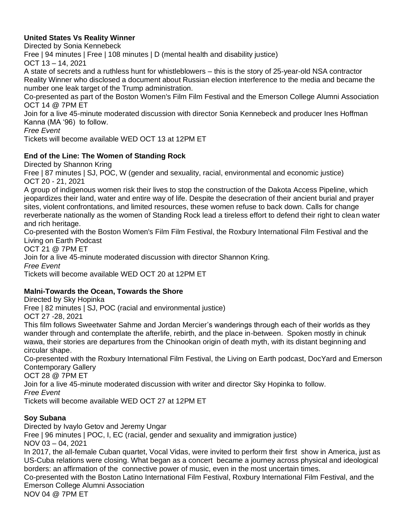# **United States Vs Reality Winner**

Directed by Sonia Kennebeck

Free | 94 minutes | Free | 108 minutes | D (mental health and disability justice)

OCT 13 – 14, 2021

A state of secrets and a ruthless hunt for whistleblowers – this is the story of 25-year-old NSA contractor Reality Winner who disclosed a document about Russian election interference to the media and became the number one leak target of the Trump administration.

Co-presented as part of the Boston Women's Film Film Festival and the Emerson College Alumni Association OCT 14 @ 7PM ET

Join for a live 45-minute moderated discussion with director Sonia Kennebeck and producer Ines Hoffman Kanna (MA '96) to follow.

*Free Event*

Tickets will become available WED OCT 13 at 12PM ET

## **End of the Line: The Women of Standing Rock**

Directed by Shannon Kring

Free | 87 minutes | SJ, POC, W (gender and sexuality, racial, environmental and economic justice) OCT 20 - 21, 2021

A group of indigenous women risk their lives to stop the construction of the Dakota Access Pipeline, which jeopardizes their land, water and entire way of life. Despite the desecration of their ancient burial and prayer sites, violent confrontations, and limited resources, these women refuse to back down. Calls for change reverberate nationally as the women of Standing Rock lead a tireless effort to defend their right to clean water and rich heritage.

Co-presented with the Boston Women's Film Film Festival, the Roxbury International Film Festival and the Living on Earth Podcast

OCT 21 @ 7PM ET

Join for a live 45-minute moderated discussion with director Shannon Kring.

*Free Event*

Tickets will become available WED OCT 20 at 12PM ET

# **Malni-Towards the Ocean, Towards the Shore**

Directed by Sky Hopinka

Free | 82 minutes | SJ, POC (racial and environmental justice)

OCT 27 -28, 2021

This film follows Sweetwater Sahme and Jordan Mercier's wanderings through each of their worlds as they wander through and contemplate the afterlife, rebirth, and the place in-between. Spoken mostly in chinuk wawa, their stories are departures from the Chinookan origin of death myth, with its distant beginning and circular shape.

Co-presented with the Roxbury International Film Festival, the Living on Earth podcast, DocYard and Emerson Contemporary Gallery

OCT 28 @ 7PM ET

Join for a live 45-minute moderated discussion with writer and director Sky Hopinka to follow.

*Free Event*

Tickets will become available WED OCT 27 at 12PM ET

## **Soy Subana**

Directed by Ivaylo Getov and Jeremy Ungar

Free | 96 minutes | POC, I, EC (racial, gender and sexuality and immigration justice)

NOV 03 – 04, 2021

In 2017, the all-female Cuban quartet, Vocal Vidas, were invited to perform their first show in America, just as US-Cuba relations were closing. What began as a concert became a journey across physical and ideological borders: an affirmation of the connective power of music, even in the most uncertain times.

Co-presented with the Boston Latino International Film Festival, Roxbury International Film Festival, and the Emerson College Alumni Association

NOV 04 @ 7PM ET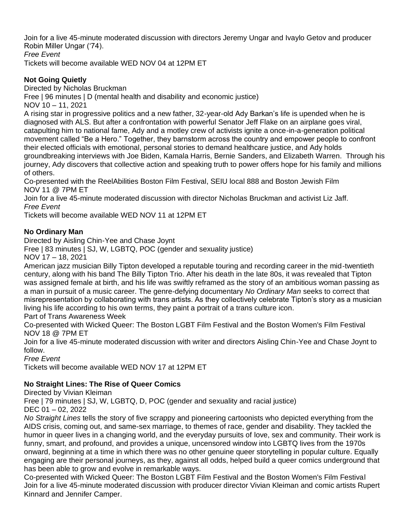Join for a live 45-minute moderated discussion with directors Jeremy Ungar and Ivaylo Getov and producer Robin Miller Ungar ('74).

*Free Event*

Tickets will become available WED NOV 04 at 12PM ET

# **Not Going Quietly**

Directed by Nicholas Bruckman

Free | 96 minutes | D (mental health and disability and economic justice)

NOV 10 – 11, 2021

A rising star in progressive politics and a new father, 32-year-old Ady Barkan's life is upended when he is diagnosed with ALS. But after a confrontation with powerful Senator Jeff Flake on an airplane goes viral, catapulting him to national fame, Ady and a motley crew of activists ignite a once-in-a-generation political movement called "Be a Hero." Together, they barnstorm across the country and empower people to confront their elected officials with emotional, personal stories to demand healthcare justice, and Ady holds groundbreaking interviews with Joe Biden, Kamala Harris, Bernie Sanders, and Elizabeth Warren. Through his journey, Ady discovers that collective action and speaking truth to power offers hope for his family and millions of others.

Co-presented with the ReelAbilities Boston Film Festival, SEIU local 888 and Boston Jewish Film NOV 11 @ 7PM ET

Join for a live 45-minute moderated discussion with director Nicholas Bruckman and activist Liz Jaff. *Free Event*

Tickets will become available WED NOV 11 at 12PM ET

## **No Ordinary Man**

Directed by Aisling Chin-Yee and Chase Joynt

Free | 83 minutes | SJ, W, LGBTQ, POC (gender and sexuality justice)

NOV 17 – 18, 2021

American jazz musician Billy Tipton developed a reputable touring and recording career in the mid-twentieth century, along with his band The Billy Tipton Trio. After his death in the late 80s, it was revealed that Tipton was assigned female at birth, and his life was swiftly reframed as the story of an ambitious woman passing as a man in pursuit of a music career. The genre-defying documentary *No Ordinary Man* seeks to correct that misrepresentation by collaborating with trans artists. As they collectively celebrate Tipton's story as a musician living his life according to his own terms, they paint a portrait of a trans culture icon.

Part of Trans Awareness Week

Co-presented with Wicked Queer: The Boston LGBT Film Festival and the Boston Women's Film Festival NOV 18 @ 7PM ET

Join for a live 45-minute moderated discussion with writer and directors Aisling Chin-Yee and Chase Joynt to follow.

*Free Event*

Tickets will become available WED NOV 17 at 12PM ET

# **No Straight Lines: The Rise of Queer Comics**

Directed by Vivian Kleiman

Free | 79 minutes | SJ, W, LGBTQ, D, POC (gender and sexuality and racial justice) DEC 01 – 02, 2022

*No Straight Lines* tells the story of five scrappy and pioneering cartoonists who depicted everything from the AIDS crisis, coming out, and same-sex marriage, to themes of race, gender and disability. They tackled the humor in queer lives in a changing world, and the everyday pursuits of love, sex and community. Their work is funny, smart, and profound, and provides a unique, uncensored window into LGBTQ lives from the 1970s onward, beginning at a time in which there was no other genuine queer storytelling in popular culture. Equally engaging are their personal journeys, as they, against all odds, helped build a queer comics underground that has been able to grow and evolve in remarkable ways.

Co-presented with Wicked Queer: The Boston LGBT Film Festival and the Boston Women's Film Festival Join for a live 45-minute moderated discussion with producer director Vivian Kleiman and comic artists Rupert Kinnard and Jennifer Camper.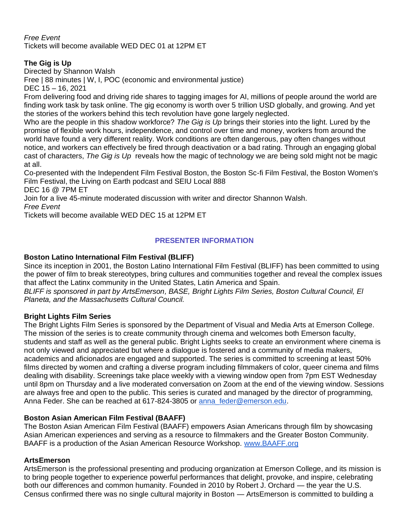## *Free Event*

Tickets will become available WED DEC 01 at 12PM ET

# **The Gig is Up**

Directed by Shannon Walsh

Free | 88 minutes | W, I, POC (economic and environmental justice)

DEC 15 – 16, 2021

From delivering food and driving ride shares to tagging images for AI, millions of people around the world are finding work task by task online. The gig economy is worth over 5 trillion USD globally, and growing. And yet the stories of the workers behind this tech revolution have gone largely neglected.

Who are the people in this shadow workforce? *The Gig is Up* brings their stories into the light. Lured by the promise of flexible work hours, independence, and control over time and money, workers from around the world have found a very different reality. Work conditions are often dangerous, pay often changes without notice, and workers can effectively be fired through deactivation or a bad rating. Through an engaging global cast of characters, *The Gig is Up* reveals how the magic of technology we are being sold might not be magic at all.

Co-presented with the Independent Film Festival Boston, the Boston Sc-fi Film Festival, the Boston Women's Film Festival, the Living on Earth podcast and SEIU Local 888

DEC 16 @ 7PM ET

Join for a live 45-minute moderated discussion with writer and director Shannon Walsh.

*Free Event*

Tickets will become available WED DEC 15 at 12PM ET

## **PRESENTER INFORMATION**

## **Boston Latino International Film Festival (BLIFF)**

Since its inception in 2001, the Boston Latino International Film Festival (BLIFF) has been committed to using the power of film to break stereotypes, bring cultures and communities together and reveal the complex issues that affect the Latinx community in the United States, Latin America and Spain.

*BLIFF is sponsored in part by ArtsEmerson, BASE, Bright Lights Film Series, Boston Cultural Council, El Planeta, and the Massachusetts Cultural Council.*

## **Bright Lights Film Series**

The Bright Lights Film Series is sponsored by the Department of Visual and Media Arts at Emerson College. The mission of the series is to create community through cinema and welcomes both Emerson faculty, students and staff as well as the general public. Bright Lights seeks to create an environment where cinema is not only viewed and appreciated but where a dialogue is fostered and a community of media makers, academics and aficionados are engaged and supported. The series is committed to screening at least 50% films directed by women and crafting a diverse program including filmmakers of color, queer cinema and films dealing with disability. Screenings take place weekly with a viewing window open from 7pm EST Wednesday until 8pm on Thursday and a live moderated conversation on Zoom at the end of the viewing window. Sessions are always free and open to the public. This series is curated and managed by the director of programming, Anna Feder. She can be reached at 617-824-3805 or anna feder@emerson.edu.

## **Boston Asian American Film Festival (BAAFF)**

The Boston Asian American Film Festival (BAAFF) empowers Asian Americans through film by showcasing Asian American experiences and serving as a resource to filmmakers and the Greater Boston Community. BAAFF is a production of the Asian American Resource Workshop. [www.BAAFF.org](http://www.baaff.org/)

## **ArtsEmerson**

ArtsEmerson is the professional presenting and producing organization at Emerson College, and its mission is to bring people together to experience powerful performances that delight, provoke, and inspire, celebrating both our differences and common humanity. Founded in 2010 by Robert J. Orchard — the year the U.S. Census confirmed there was no single cultural majority in Boston — ArtsEmerson is committed to building a